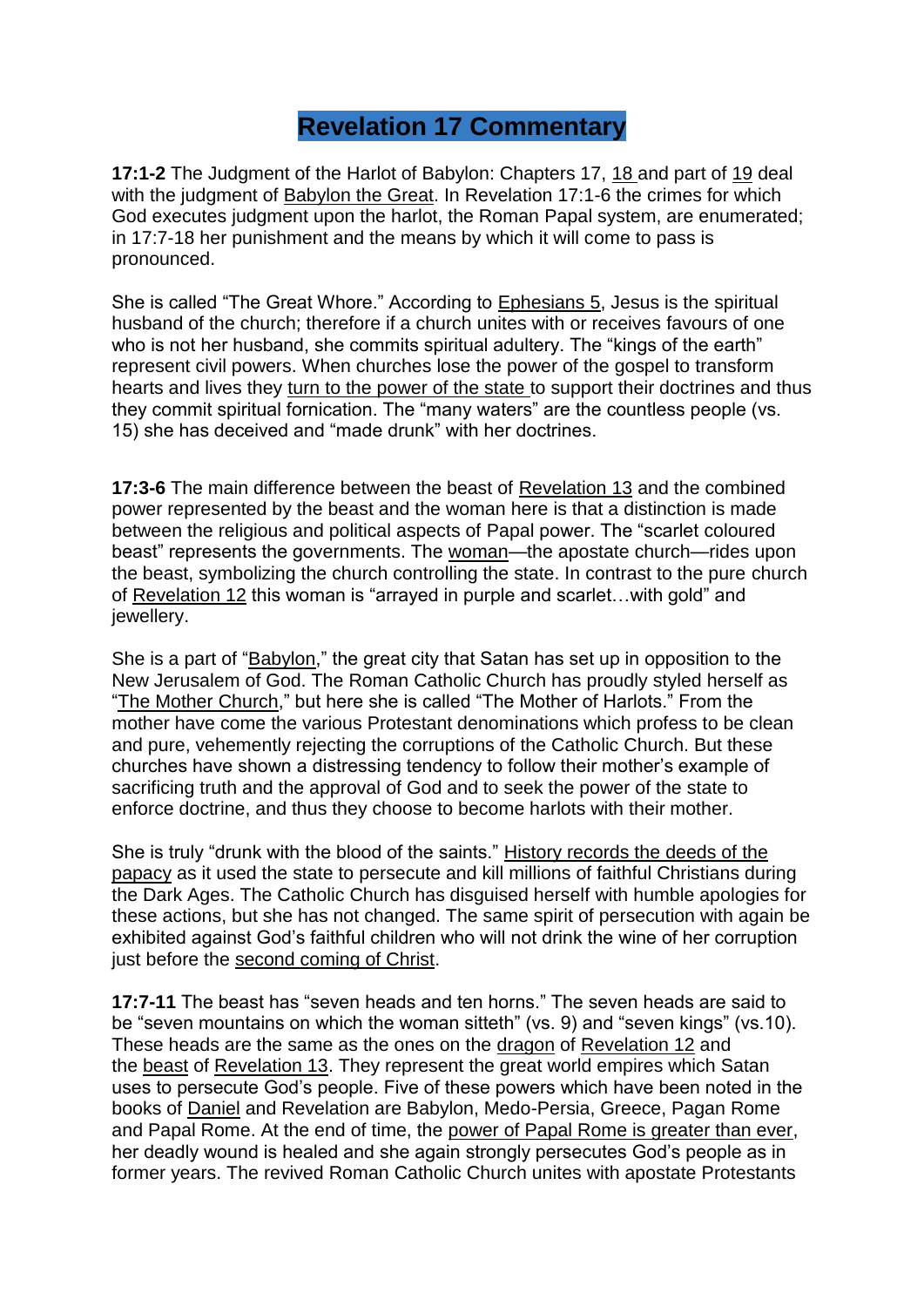## **Revelation 17 Commentary**

**17:1-2** The Judgment of the Harlot of Babylon: Chapters 17, [18](https://amazingdiscoveries.org/S-deception-Babylon-doom-Revelation-18-commentary) and part of [19](https://amazingdiscoveries.org/S-deception-hallelujah-Babylon-Revelation-19-commentary) deal with the judgment of [Babylon the Great.](https://amazingdiscoveries.org/S-deception_end-time_Babylon_Nabopolasser) In Revelation 17:1-6 the crimes for which God executes judgment upon the harlot, the Roman Papal system, are enumerated; in 17:7-18 her punishment and the means by which it will come to pass is pronounced.

She is called "The Great Whore." According to [Ephesians 5,](http://www.biblegateway.com/passage/?search=ephesians%205:1-25&version=KJV) Jesus is the spiritual husband of the church; therefore if a church unites with or receives favours of one who is not her husband, she commits spiritual adultery. The "kings of the earth" represent civil powers. When churches lose the power of the gospel to transform hearts and lives they [turn to the power of the state](https://amazingdiscoveries.org/S-deception_beast_unity_State_Sunday) to support their doctrines and thus they commit spiritual fornication. The "many waters" are the countless people (vs. 15) she has deceived and "made drunk" with her doctrines.

**17:3-6** The main difference between the beast of [Revelation 13](https://amazingdiscoveries.org/S-deception-beast_sea_earth_Revelation-13-commentary) and the combined power represented by the beast and the woman here is that a distinction is made between the religious and political aspects of Papal power. The "scarlet coloured beast" represents the governments. The [woman—](https://amazingdiscoveries.org/S-deception_confederacy_Babylon_beast)the apostate church—rides upon the beast, symbolizing the church controlling the state. In contrast to the pure church of [Revelation 12](https://amazingdiscoveries.org/S-deception-woman-dragon-Revelation-12-commentary) this woman is "arrayed in purple and scarlet…with gold" and jewellery.

She is a part of ["Babylon,](https://amazingdiscoveries.org/S-deception_end-time_Babylon_Nabopolasser)" the great city that Satan has set up in opposition to the New Jerusalem of God. The Roman Catholic Church has proudly styled herself as ["The Mother Church,](https://amazingdiscoveries.org/S-deception_end-time_Babylon_Revelation_Mother)" but here she is called "The Mother of Harlots." From the mother have come the various Protestant denominations which profess to be clean and pure, vehemently rejecting the corruptions of the Catholic Church. But these churches have shown a distressing tendency to follow their mother's example of sacrificing truth and the approval of God and to seek the power of the state to enforce doctrine, and thus they choose to become harlots with their mother.

She is truly "drunk with the blood of the saints." [History records the deeds of the](https://amazingdiscoveries.org/timeline-of-bloody-history-of-papal-rome-oppression-of-protestants)  [papacy](https://amazingdiscoveries.org/timeline-of-bloody-history-of-papal-rome-oppression-of-protestants) as it used the state to persecute and kill millions of faithful Christians during the Dark Ages. The Catholic Church has disguised herself with humble apologies for these actions, but she has not changed. The same spirit of persecution with again be exhibited against God's faithful children who will not drink the wine of her corruption just before the [second coming of Christ.](https://amazingdiscoveries.org/S-deception_end-time_Second_Coming_apocalypse)

**17:7-11** The beast has "seven heads and ten horns." The seven heads are said to be "seven mountains on which the woman sitteth" (vs. 9) and "seven kings" (vs.10). These heads are the same as the ones on the [dragon](https://amazingdiscoveries.org/S-deception_Great_Controversy_Dragon_Revelation) of [Revelation 12](https://amazingdiscoveries.org/S-deception-woman-dragon-Revelation-12-commentary) and the [beast](https://amazingdiscoveries.org/S-deception_beasts_Revelation_lamb_earth) of [Revelation 13.](https://amazingdiscoveries.org/S-deception-beast_sea_earth_Revelation-13-commentary) They represent the great world empires which Satan uses to persecute God's people. Five of these powers which have been noted in the books of [Daniel](https://amazingdiscoveries.org/S-deception_end-time_Antichrist_Daniel_Revelation) and Revelation are Babylon, Medo-Persia, Greece, Pagan Rome and Papal Rome. At the end of time, the [power of Papal Rome is greater than ever,](https://amazingdiscoveries.org/S-deception_beasts_Constantine_emperor) her deadly wound is healed and she again strongly persecutes God's people as in former years. The revived Roman Catholic Church unites with apostate Protestants